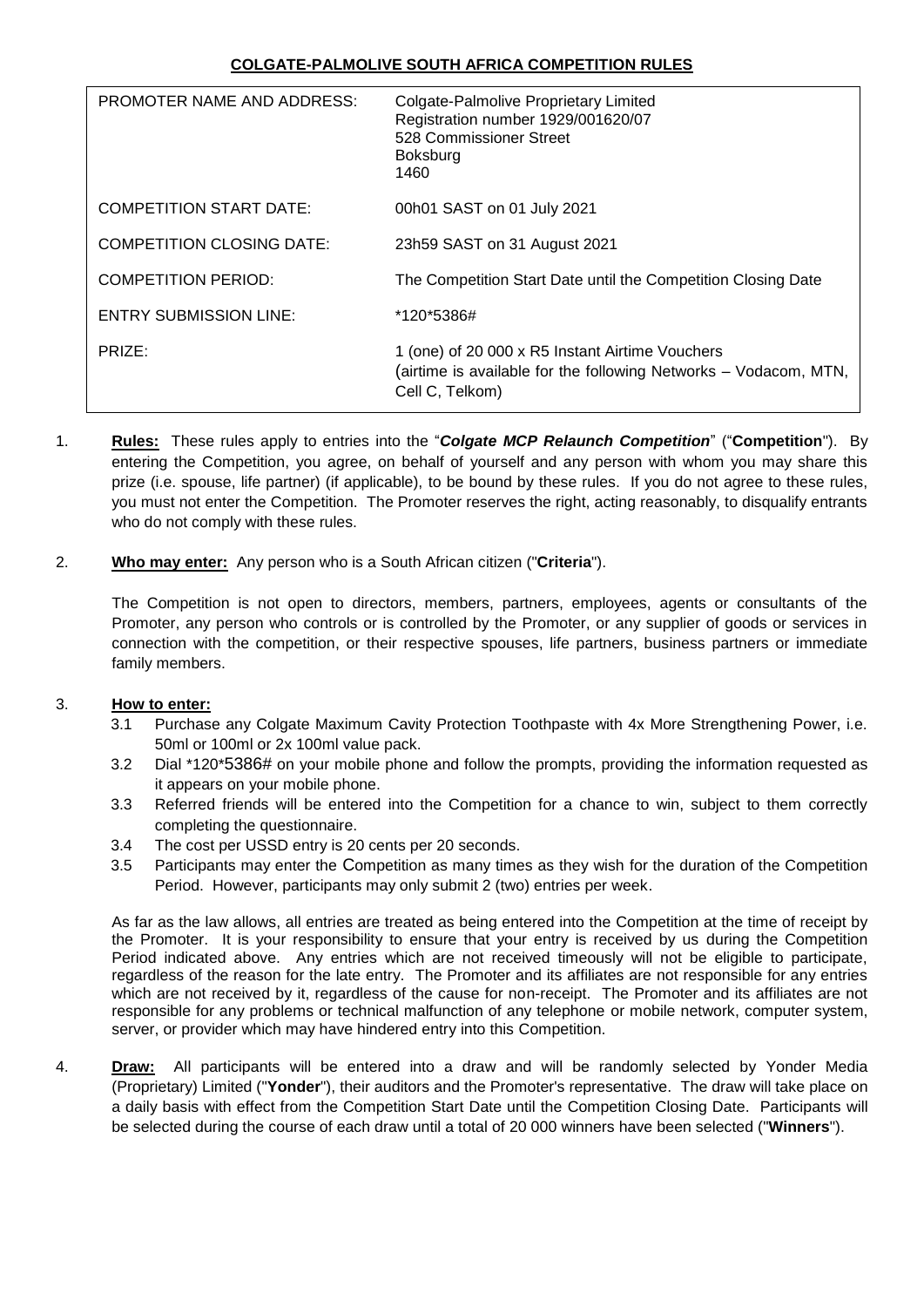# **COLGATE-PALMOLIVE SOUTH AFRICA COMPETITION RULES**

| PROMOTER NAME AND ADDRESS:       | Colgate-Palmolive Proprietary Limited<br>Registration number 1929/001620/07<br>528 Commissioner Street<br>Boksburg<br>1460             |
|----------------------------------|----------------------------------------------------------------------------------------------------------------------------------------|
| <b>COMPETITION START DATE:</b>   | 00h01 SAST on 01 July 2021                                                                                                             |
| <b>COMPETITION CLOSING DATE:</b> | 23h59 SAST on 31 August 2021                                                                                                           |
| <b>COMPETITION PERIOD:</b>       | The Competition Start Date until the Competition Closing Date                                                                          |
| <b>ENTRY SUBMISSION LINE:</b>    | *120*5386#                                                                                                                             |
| PRIZE:                           | 1 (one) of 20 000 x R5 Instant Airtime Vouchers<br>(airtime is available for the following Networks – Vodacom, MTN,<br>Cell C, Telkom) |

1. **Rules:** These rules apply to entries into the "*Colgate MCP Relaunch Competition*" ("**Competition**"). By entering the Competition, you agree, on behalf of yourself and any person with whom you may share this prize (i.e. spouse, life partner) (if applicable), to be bound by these rules. If you do not agree to these rules, you must not enter the Competition. The Promoter reserves the right, acting reasonably, to disqualify entrants who do not comply with these rules.

## 2. **Who may enter:** Any person who is a South African citizen ("**Criteria**").

The Competition is not open to directors, members, partners, employees, agents or consultants of the Promoter, any person who controls or is controlled by the Promoter, or any supplier of goods or services in connection with the competition, or their respective spouses, life partners, business partners or immediate family members.

#### 3. **How to enter:**

- 3.1 Purchase any Colgate Maximum Cavity Protection Toothpaste with 4x More Strengthening Power, i.e. 50ml or 100ml or 2x 100ml value pack.
- 3.2 Dial \*120\*5386# on your mobile phone and follow the prompts, providing the information requested as it appears on your mobile phone.
- 3.3 Referred friends will be entered into the Competition for a chance to win, subject to them correctly completing the questionnaire.
- 3.4 The cost per USSD entry is 20 cents per 20 seconds.
- 3.5 Participants may enter the Competition as many times as they wish for the duration of the Competition Period. However, participants may only submit 2 (two) entries per week.

As far as the law allows, all entries are treated as being entered into the Competition at the time of receipt by the Promoter. It is your responsibility to ensure that your entry is received by us during the Competition Period indicated above. Any entries which are not received timeously will not be eligible to participate, regardless of the reason for the late entry. The Promoter and its affiliates are not responsible for any entries which are not received by it, regardless of the cause for non-receipt. The Promoter and its affiliates are not responsible for any problems or technical malfunction of any telephone or mobile network, computer system, server, or provider which may have hindered entry into this Competition.

4. **Draw:** All participants will be entered into a draw and will be randomly selected by Yonder Media (Proprietary) Limited ("**Yonder**"), their auditors and the Promoter's representative. The draw will take place on a daily basis with effect from the Competition Start Date until the Competition Closing Date. Participants will be selected during the course of each draw until a total of 20 000 winners have been selected ("**Winners**").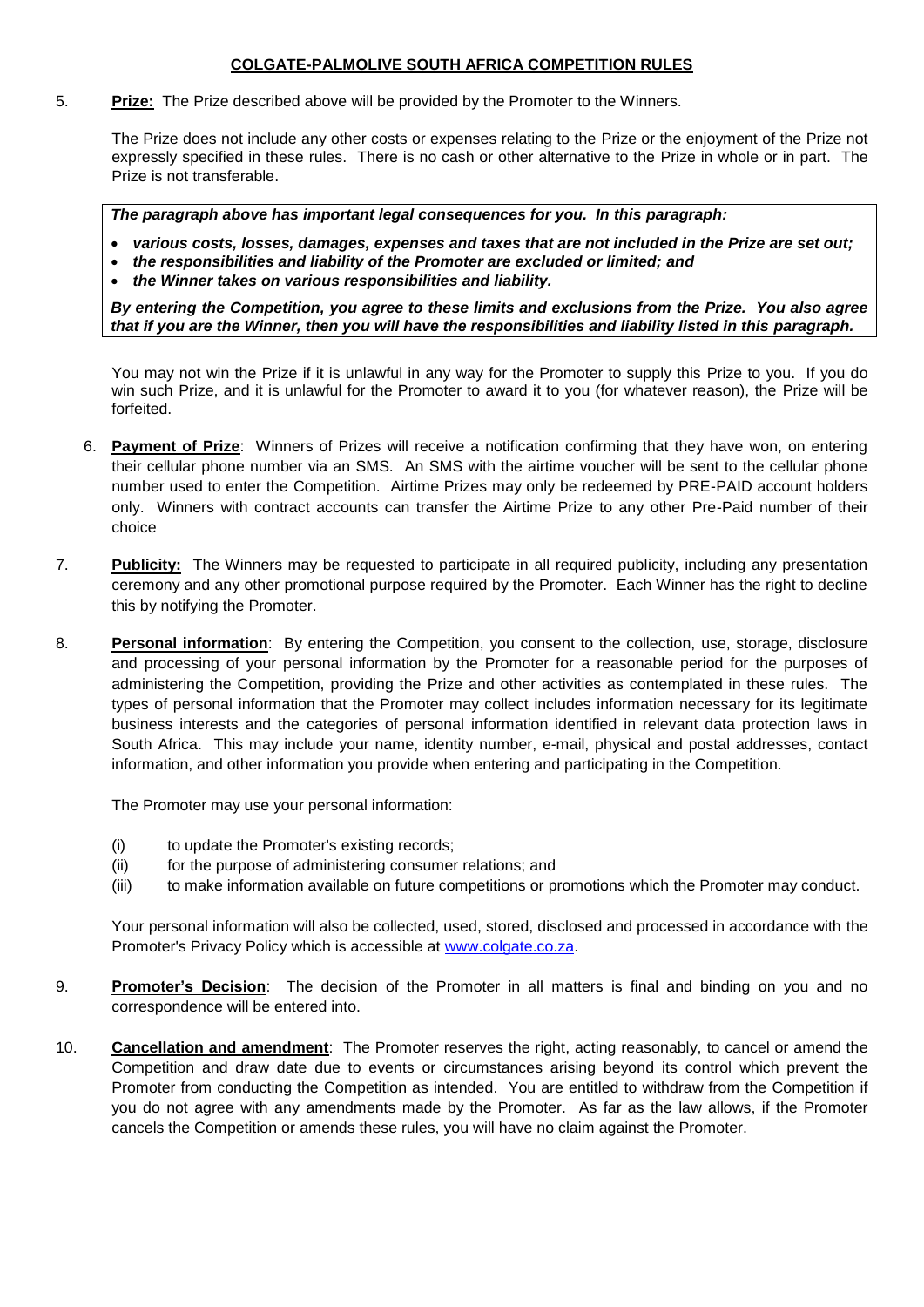### **COLGATE-PALMOLIVE SOUTH AFRICA COMPETITION RULES**

5. **Prize:** The Prize described above will be provided by the Promoter to the Winners.

The Prize does not include any other costs or expenses relating to the Prize or the enjoyment of the Prize not expressly specified in these rules. There is no cash or other alternative to the Prize in whole or in part. The Prize is not transferable.

*The paragraph above has important legal consequences for you. In this paragraph:*

- *various costs, losses, damages, expenses and taxes that are not included in the Prize are set out;*
- *the responsibilities and liability of the Promoter are excluded or limited; and*
- *the Winner takes on various responsibilities and liability.*

*By entering the Competition, you agree to these limits and exclusions from the Prize. You also agree that if you are the Winner, then you will have the responsibilities and liability listed in this paragraph.*

You may not win the Prize if it is unlawful in any way for the Promoter to supply this Prize to you. If you do win such Prize, and it is unlawful for the Promoter to award it to you (for whatever reason), the Prize will be forfeited.

- 6. **Payment of Prize**: Winners of Prizes will receive a notification confirming that they have won, on entering their cellular phone number via an SMS. An SMS with the airtime voucher will be sent to the cellular phone number used to enter the Competition. Airtime Prizes may only be redeemed by PRE-PAID account holders only. Winners with contract accounts can transfer the Airtime Prize to any other Pre-Paid number of their choice
- 7. **Publicity:** The Winners may be requested to participate in all required publicity, including any presentation ceremony and any other promotional purpose required by the Promoter. Each Winner has the right to decline this by notifying the Promoter.
- 8. **Personal information**: By entering the Competition, you consent to the collection, use, storage, disclosure and processing of your personal information by the Promoter for a reasonable period for the purposes of administering the Competition, providing the Prize and other activities as contemplated in these rules. The types of personal information that the Promoter may collect includes information necessary for its legitimate business interests and the categories of personal information identified in relevant data protection laws in South Africa. This may include your name, identity number, e-mail, physical and postal addresses, contact information, and other information you provide when entering and participating in the Competition.

The Promoter may use your personal information:

- (i) to update the Promoter's existing records;
- (ii) for the purpose of administering consumer relations; and
- (iii) to make information available on future competitions or promotions which the Promoter may conduct.

Your personal information will also be collected, used, stored, disclosed and processed in accordance with the Promoter's Privacy Policy which is accessible at [www.colgate.co.za.](http://www.colgate.co.za/)

- 9. **Promoter's Decision**: The decision of the Promoter in all matters is final and binding on you and no correspondence will be entered into.
- 10. **Cancellation and amendment**: The Promoter reserves the right, acting reasonably, to cancel or amend the Competition and draw date due to events or circumstances arising beyond its control which prevent the Promoter from conducting the Competition as intended. You are entitled to withdraw from the Competition if you do not agree with any amendments made by the Promoter. As far as the law allows, if the Promoter cancels the Competition or amends these rules, you will have no claim against the Promoter.